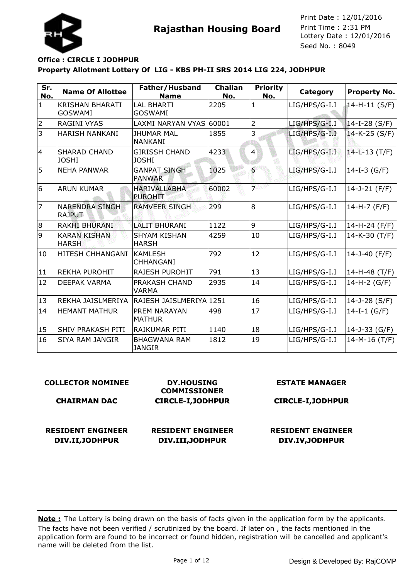



## **Property Allotment Lottery Of LIG - KBS PH-II SRS 2014 LIG 224, JODHPUR Office : CIRCLE I JODHPUR**

| Sr.<br>No.     | <b>Name Of Allottee</b>                  | Father/Husband<br><b>Name</b>         | <b>Challan</b><br>No. | <b>Priority</b><br>No. | Category        | <b>Property No.</b> |
|----------------|------------------------------------------|---------------------------------------|-----------------------|------------------------|-----------------|---------------------|
| $\mathbf{1}$   | <b>KRISHAN BHARATI</b><br><b>GOSWAMI</b> | <b>LAL BHARTI</b><br><b>GOSWAMI</b>   | 2205                  | $\mathbf{1}$           | LIG/HPS/G-I.I   | 14-H-11 (S/F)       |
| $\overline{2}$ | <b>RAGINI VYAS</b>                       | LAXMI NARYAN VYAS 60001               |                       | $\overline{2}$         | LIG/HPS/G-I.I   | $14-I-28 (S/F)$     |
| 3              | <b>HARISH NANKANI</b>                    | <b>JHUMAR MAL</b><br><b>NANKANI</b>   | 1855                  | 3                      | LIG/HPS/G-I.I   | 14-K-25 (S/F)       |
| 4              | <b>SHARAD CHAND</b><br><b>JOSHI</b>      | <b>GIRISSH CHAND</b><br><b>JOSHI</b>  | 4233                  | $\overline{4}$         | LIG/HPS/G-I.I   | 14-L-13 (T/F)       |
| 5              | INEHA PANWAR                             | <b>GANPAT SINGH</b><br><b>PANWAR</b>  | 1025                  | $\overline{6}$         | $LIG/HPS/G-I.I$ | 14-I-3 $(G/F)$      |
| 6              | <b>ARUN KUMAR</b>                        | <b>HARIVALLABHA</b><br><b>PUROHIT</b> | 60002                 | ァ                      | LIG/HPS/G-I.I   | 14-J-21 (F/F)       |
| 7              | <b>NARENDRA SINGH</b><br><b>RAJPUT</b>   | <b>RAMVEER SINGH</b>                  | 299                   | 8                      | LIG/HPS/G-I.I   | 14-H-7 (F/F)        |
| 8              | <b>RAKHI BHURANI</b>                     | LALIT BHURANI                         | 1122                  | 9                      | LIG/HPS/G-I.I   | 14-H-24 (F/F)       |
| g              | <b>KARAN KISHAN</b><br><b>HARSH</b>      | <b>SHYAM KISHAN</b><br><b>HARSH</b>   | 4259                  | 10                     | LIG/HPS/G-I.I   | 14-K-30 (T/F)       |
| 10             | IHITESH CHHANGANI                        | <b>KAMLESH</b><br><b>CHHANGANI</b>    | 792                   | 12                     | LIG/HPS/G-I.I   | 14-J-40 (F/F)       |
| 11             | <b>REKHA PUROHIT</b>                     | RAJESH PUROHIT                        | 791                   | 13                     | LIG/HPS/G-I.I   | 14-H-48 (T/F)       |
| 12             | <b>DEEPAK VARMA</b>                      | PRAKASH CHAND<br><b>VARMA</b>         | 2935                  | 14                     | LIG/HPS/G-I.I   | 14-H-2 (G/F)        |
| 13             | REKHA JAISLMERIYA                        | RAJESH JAISLMERIYAl1251               |                       | 16                     | LIG/HPS/G-I.I   | 14-J-28 (S/F)       |
| 14             | <b>HEMANT MATHUR</b>                     | PREM NARAYAN<br><b>MATHUR</b>         | 498                   | 17                     | LIG/HPS/G-I.I   | $14-I-1(G/F)$       |
| 15             | <b>SHIV PRAKASH PITI</b>                 | RAJKUMAR PITI                         | 1140                  | 18                     | LIG/HPS/G-I.I   | $14 - J - 33$ (G/F) |
| 16             | <b>SIYA RAM JANGIR</b>                   | <b>BHAGWANA RAM</b><br><b>JANGIR</b>  | 1812                  | 19                     | LIG/HPS/G-I.I   | 14-M-16 (T/F)       |

#### **COLLECTOR NOMINEE CHAIRMAN DAC DY.HOUSING COMMISSIONER CIRCLE-I,JODHPUR ESTATE MANAGER CIRCLE-I,JODHPUR RESIDENT ENGINEER DIV.II,JODHPUR RESIDENT ENGINEER DIV.III,JODHPUR RESIDENT ENGINEER DIV.IV,JODHPUR**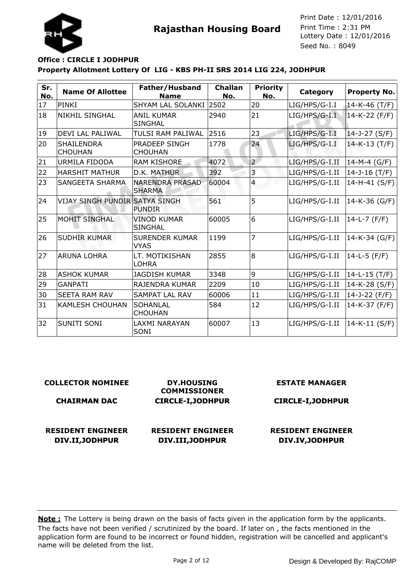

## **Property Allotment Lottery Of LIG - KBS PH-II SRS 2014 LIG 224, JODHPUR Office : CIRCLE I JODHPUR**

| Sr.<br>No. | <b>Name Of Allottee</b>               | Father/Husband<br><b>Name</b>           | <b>Challan</b><br>No. | <b>Priority</b><br>No. | Category       | <b>Property No.</b> |
|------------|---------------------------------------|-----------------------------------------|-----------------------|------------------------|----------------|---------------------|
| 17         | PINKI                                 | SHYAM LAL SOLANKI 2502                  |                       | 20                     | LIG/HPS/G-I.I  | $14 - K - 46$ (T/F) |
| 18         | <b>NIKHIL SINGHAL</b>                 | <b>ANIL KUMAR</b><br><b>SINGHAL</b>     | 2940                  | 21                     | LIG/HPS/G-I.I  | 14-K-22 (F/F)       |
| 19         | <b>DEVI LAL PALIWAL</b>               | TULSI RAM PALIWAL                       | 2516                  | 23                     | LIG/HPS/G-I.I  | 14-J-27 (S/F)       |
| 20         | <b>SHAILENDRA</b><br><b>CHOUHAN</b>   | <b>PRADEEP SINGH</b><br><b>CHOUHAN</b>  | 1778                  | 24                     | LIG/HPS/G-I.I  | 14-K-13 (T/F)       |
| 21         | URMILA FIDODA                         | <b>RAM KISHORE</b>                      | 4072                  | $\overline{2}$         | LIG/HPS/G-I.II | 14-M-4 (G/F)        |
| 22         | <b>HARSHIT MATHUR</b>                 | D.K. MATHUR                             | 392                   | 3                      | LIG/HPS/G-I.II | 14-J-16 $(T/F)$     |
| 23         | <b>SANGEETA SHARMA</b>                | <b>NARENDRA PRASAD</b><br><b>SHARMA</b> | 60004                 | $\mathbf{4}$           | LIG/HPS/G-I.II | 14-H-41 (S/F)       |
| 24         | <b>VIJAY SINGH PUNDIR SATYA SINGH</b> | <b>PUNDIR</b>                           | 561                   | 5                      | LIG/HPS/G-I.II | 14-K-36 (G/F)       |
| 25         | <b>MOHIT SINGHAL</b>                  | <b>VINOD KUMAR</b><br><b>SINGHAL</b>    | 60005                 | 6                      | LIG/HPS/G-I.II | 14-L-7 (F/F)        |
| 26         | <b>SUDHIR KUMAR</b>                   | <b>SURENDER KUMAR</b><br><b>VYAS</b>    | 1199                  | $\overline{7}$         | LIG/HPS/G-I.II | $14-K-34$ (G/F)     |
| 27         | ARUNA LOHRA                           | LT. MOTIKISHAN<br>LOHRA                 | 2855                  | 8                      | LIG/HPS/G-I.II | 14-L-5 (F/F)        |
| 28         | <b>ASHOK KUMAR</b>                    | <b>JAGDISH KUMAR</b>                    | 3348                  | 9                      | LIG/HPS/G-I.II | $14-L-15$ (T/F)     |
| 29         | <b>GANPATI</b>                        | <b>RAJENDRA KUMAR</b>                   | 2209                  | 10                     | LIG/HPS/G-I.II | 14-K-28 (S/F)       |
| 30         | <b>SEETA RAM RAV</b>                  | SAMPAT LAL RAV                          | 60006                 | 11                     | LIG/HPS/G-I.II | 14-J-22 (F/F)       |
| 31         | <b>KAMLESH CHOUHAN</b>                | <b>SOHANLAL</b><br><b>CHOUHAN</b>       | 584                   | 12                     | LIG/HPS/G-I.II | 14-K-37 (F/F)       |
| 32         | <b>SUNITI SONI</b>                    | LAXMI NARAYAN<br>SONI                   | 60007                 | 13                     | LIG/HPS/G-I.II | 14-K-11 (S/F)       |

| <b>COLLECTOR NOMINEE</b> | <b>DY.HOUSING</b><br><b>COMMISSIONER</b> | <b>ESTATE MANAGER</b>    |
|--------------------------|------------------------------------------|--------------------------|
| <b>CHAIRMAN DAC</b>      | <b>CIRCLE-I, JODHPUR</b>                 | <b>CIRCLE-I, JODHPUR</b> |
|                          |                                          |                          |
| <b>RESIDENT ENGINEER</b> | <b>RESIDENT ENGINEER</b>                 | <b>RESIDENT ENGINEER</b> |
| DIV.II, JODHPUR          | DIV.III, JODHPUR                         | DIV.IV, JODHPUR          |
|                          |                                          |                          |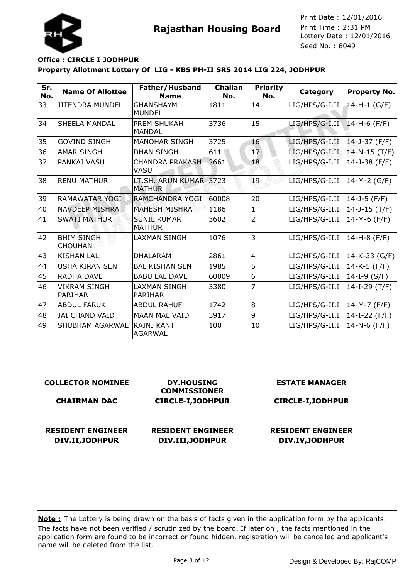



## **Property Allotment Lottery Of LIG - KBS PH-II SRS 2014 LIG 224, JODHPUR Office : CIRCLE I JODHPUR**

| Sr.<br>No. | <b>Name Of Allottee</b>               | Father/Husband<br><b>Name</b>           | <b>Challan</b><br>No. | <b>Priority</b><br>No. | Category       | <b>Property No.</b> |
|------------|---------------------------------------|-----------------------------------------|-----------------------|------------------------|----------------|---------------------|
| 33         | JITENDRA MUNDEL                       | <b>GHANSHAYM</b><br><b>MUNDEL</b>       | 1811                  | 14                     | LIG/HPS/G-I.II | $14-H-1$ (G/F)      |
| 34         | <b>SHEELA MANDAL</b>                  | <b>PREM SHUKAH</b><br><b>MANDAL</b>     | 3736                  | 15                     | LIG/HPS/G-I.II | $14-H-6$ (F/F)      |
| 35         | <b>GOVIND SINGH</b>                   | <b>MANOHAR SINGH</b>                    | 3725                  | 16                     | LIG/HPS/G-I.II | 14-J-37 (F/F)       |
| 36         | <b>AMAR SINGH</b>                     | <b>DHAN SINGH</b>                       | 611                   | 17                     | LIG/HPS/G-I.II | $14-N-15$ (T/F)     |
| 37         | PANKAJ VASU                           | <b>CHANDRA PRAKASH</b><br><b>VASU</b>   | 2661                  | 18                     | LIG/HPS/G-I.II | 14-J-38 (F/F)       |
| 38         | <b>RENU MATHUR</b>                    | LT.SH. ARUN KUMAR 3723<br><b>MATHUR</b> |                       | 19                     | LIG/HPS/G-I.II | 14-M-2 (G/F)        |
| 39         | RAMAWATAR YOGI                        | RAMCHANDRA YOGI                         | 60008                 | 20                     | LIG/HPS/G-I.II | 14-J-5 (F/F)        |
| 40         | <b>NAVDEEP MISHRA</b>                 | <b>MAHESH MISHRA</b>                    | 1186                  | $\mathbf{1}$           | LIG/HPS/G-II.I | $14 - J - 15$ (T/F) |
| 41         | <b>SWATI MATHUR</b>                   | <b>SUNIL KUMAR</b><br><b>MATHUR</b>     | 3602                  | $\overline{2}$         | LIG/HPS/G-II.I | $14-M-6$ (F/F)      |
| 42         | <b>BHIM SINGH</b><br><b>CHOUHAN</b>   | <b>LAXMAN SINGH</b>                     | 1076                  | 3                      | LIG/HPS/G-II.I | 14-H-8 (F/F)        |
| 43         | <b>KISHAN LAL</b>                     | <b>DHALARAM</b>                         | 2861                  | $\overline{4}$         | LIG/HPS/G-II.I | $14-K-33$ (G/F)     |
| 44         | <b>USHA KIRAN SEN</b>                 | <b>BAL KISHAN SEN</b>                   | 1985                  | 5                      | LIG/HPS/G-II.I | 14-K-5 (F/F)        |
| 45         | <b>RADHA DAVE</b>                     | <b>BABU LAL DAVE</b>                    | 60009                 | 6                      | LIG/HPS/G-II.I | 14-I-9 $(S/F)$      |
| 46         | <b>VIKRAM SINGH</b><br><b>PARIHAR</b> | <b>LAXMAN SINGH</b><br><b>PARIHAR</b>   | 3380                  | 7                      | LIG/HPS/G-II.I | $14-I-29$ (T/F)     |
| 47         | <b>ABDUL FARUK</b>                    | <b>ABDUL RAHUF</b>                      | 1742                  | 8                      | LIG/HPS/G-II.I | $14-M-7$ (F/F)      |
| 48         | <b>JAI CHAND VAID</b>                 | <b>MAAN MAL VAID</b>                    | 3917                  | 9                      | LIG/HPS/G-II.I | 14-I-22 (F/F)       |
| 49         | <b>SHUBHAM AGARWAL</b>                | İRAJNI KANT<br><b>AGARWAL</b>           | 100                   | 10                     | LIG/HPS/G-II.I | $14-N-6$ (F/F)      |

| <b>COLLECTOR NOMINEE</b>                    | <b>DY.HOUSING</b><br><b>COMMISSIONER</b>     | <b>ESTATE MANAGER</b>                       |
|---------------------------------------------|----------------------------------------------|---------------------------------------------|
| <b>CHAIRMAN DAC</b>                         | <b>CIRCLE-I, JODHPUR</b>                     | <b>CIRCLE-I, JODHPUR</b>                    |
| <b>RESIDENT ENGINEER</b><br>DIV.II, JODHPUR | <b>RESIDENT ENGINEER</b><br>DIV.III, JODHPUR | <b>RESIDENT ENGINEER</b><br>DIV.IV, JODHPUR |
|                                             |                                              |                                             |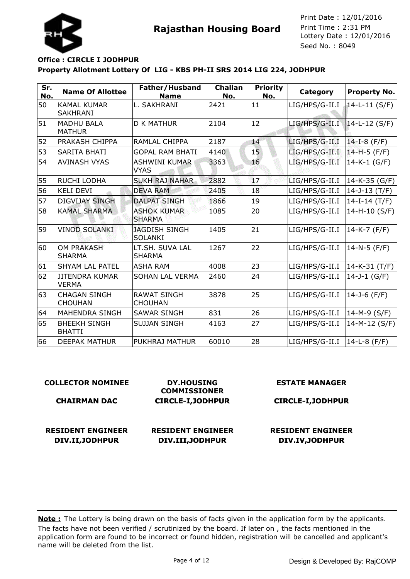



**Rajasthan Housing Board** Print Time : 2:31 PM<br>Lottery Date : 12/01/2016 Seed No. : 8049 Print Date : 12/01/2016 Print Time : 2:31 PM

## **Property Allotment Lottery Of LIG - KBS PH-II SRS 2014 LIG 224, JODHPUR Office : CIRCLE I JODHPUR**

| Sr.<br>No. | <b>Name Of Allottee</b>               | Father/Husband<br><b>Name</b>          | <b>Challan</b><br>No. | <b>Priority</b><br>No. | Category       | <b>Property No.</b> |
|------------|---------------------------------------|----------------------------------------|-----------------------|------------------------|----------------|---------------------|
| 50         | <b>KAMAL KUMAR</b><br><b>SAKHRANI</b> | L. SAKHRANI                            | 2421                  | 11                     | LIG/HPS/G-II.I | $14-L-11$ (S/F)     |
| 51         | <b>MADHU BALA</b><br><b>MATHUR</b>    | <b>D K MATHUR</b>                      | 2104                  | 12                     | LIG/HPS/G-II.I | $14-L-12$ (S/F)     |
| 52         | <b>PRAKASH CHIPPA</b>                 | RAMLAL CHIPPA                          | 2187                  | 14                     | LIG/HPS/G-II.I | $14-I-8$ (F/F)      |
| 53         | <b>SARITA BHATI</b>                   | <b>GOPAL RAM BHATI</b>                 | 4140                  | 15                     | LIG/HPS/G-II.I | 14-H-5 (F/F)        |
| 54         | <b>AVINASH VYAS</b>                   | <b>ASHWINI KUMAR</b><br><b>VYAS</b>    | 3363                  | 16                     | LIG/HPS/G-II.I | $14 - K - 1$ (G/F)  |
| 55         | RUCHI LODHA                           | <b>SUKH RAJ NAHAR</b>                  | 2882                  | 17                     | LIG/HPS/G-II.I | $14-K-35$ (G/F)     |
| 56         | <b>KELI DEVI</b>                      | <b>DEVA RAM</b>                        | 2405                  | 18                     | LIG/HPS/G-II.I | $14 - J - 13$ (T/F) |
| 57         | <b>DIGVIJAY SINGH</b>                 | <b>DALPAT SINGH</b>                    | 1866                  | 19                     | LIG/HPS/G-II.I | $14-I-14 (T/F)$     |
| 58         | <b>KAMAL SHARMA</b>                   | <b>ASHOK KUMAR</b><br><b>SHARMA</b>    | 1085                  | 20                     | LIG/HPS/G-II.I | 14-H-10 (S/F)       |
| 59         | <b>VINOD SOLANKI</b>                  | <b>JAGDISH SINGH</b><br><b>SOLANKI</b> | 1405                  | 21                     | LIG/HPS/G-II.I | 14-K-7 (F/F)        |
| 60         | <b>OM PRAKASH</b><br><b>SHARMA</b>    | LT.SH. SUVA LAL<br><b>SHARMA</b>       | 1267                  | 22                     | LIG/HPS/G-II.I | $14 - N - 5$ (F/F)  |
| 61         | <b>SHYAM LAL PATEL</b>                | <b>ASHA RAM</b>                        | 4008                  | 23                     | LIG/HPS/G-II.I | 14-K-31 (T/F)       |
| 62         | <b>JITENDRA KUMAR</b><br><b>VERMA</b> | <b>SOHAN LAL VERMA</b>                 | 2460                  | 24                     | LIG/HPS/G-II.I | 14-J-1 $(G/F)$      |
| 63         | <b>CHAGAN SINGH</b><br><b>CHOUHAN</b> | <b>RAWAT SINGH</b><br><b>CHOUHAN</b>   | 3878                  | 25                     | LIG/HPS/G-II.I | 14-J-6 (F/F)        |
| 64         | <b>MAHENDRA SINGH</b>                 | <b>SAWAR SINGH</b>                     | 831                   | 26                     | LIG/HPS/G-II.I | 14-M-9 (S/F)        |
| 65         | <b>BHEEKH SINGH</b><br><b>BHATTI</b>  | <b>SUJJAN SINGH</b>                    | 4163                  | 27                     | LIG/HPS/G-II.I | 14-M-12 (S/F)       |
| 66         | <b>DEEPAK MATHUR</b>                  | PUKHRAJ MATHUR                         | 60010                 | 28                     | LIG/HPS/G-II.I | 14-L-8 (F/F)        |

#### **COLLECTOR NOMINEE CHAIRMAN DAC DY.HOUSING COMMISSIONER CIRCLE-I,JODHPUR ESTATE MANAGER CIRCLE-I,JODHPUR RESIDENT ENGINEER DIV.II,JODHPUR RESIDENT ENGINEER DIV.III,JODHPUR RESIDENT ENGINEER DIV.IV,JODHPUR**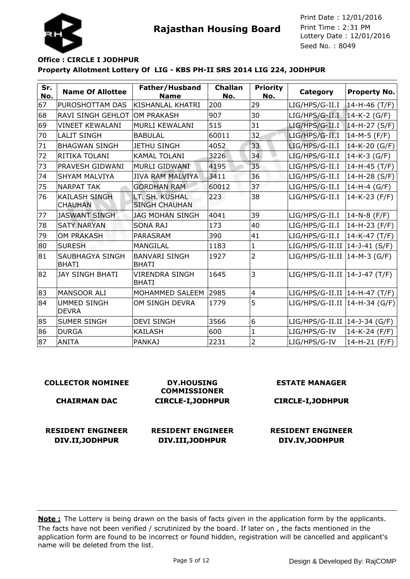



### **Property Allotment Lottery Of LIG - KBS PH-II SRS 2014 LIG 224, JODHPUR Office : CIRCLE I JODHPUR**

| Sr.<br>No. | <b>Name Of Allottee</b>                | Father/Husband<br><b>Name</b>          | <b>Challan</b><br>No. | <b>Priority</b><br>No. | Category                        | <b>Property No.</b> |
|------------|----------------------------------------|----------------------------------------|-----------------------|------------------------|---------------------------------|---------------------|
| 67         | PUROSHOTTAM DAS                        | KISHANLAL KHATRI                       | 200                   | 29                     | LIG/HPS/G-II.I                  | $14-H-46$ (T/F)     |
| 68         | <b>RAVI SINGH GEHLOT</b>               | <b>OM PRAKASH</b>                      | 907                   | 30                     | LIG/HPS/G-II.I                  | $14-K-2$ (G/F)      |
| 69         | <b>VINEET KEWALANI</b>                 | MURLI KEWALANI                         | 515                   | 31                     | LIG/HPS/G-II.I                  | $14-H-27 (S/F)$     |
| 70         | <b>LALIT SINGH</b>                     | <b>BABULAL</b>                         | 60011                 | 32                     | LIG/HPS/G-II.I                  | $14-M-5$ (F/F)      |
| 71         | <b>BHAGWAN SINGH</b>                   | <b>JETHU SINGH</b>                     | 4052                  | 33                     | LIG/HPS/G-II.I                  | 14-K-20 (G/F)       |
| 72         | RITIKA TOLANI                          | <b>KAMAL TOLANI</b>                    | 3226                  | 34                     | LIG/HPS/G-II.I                  | $14-K-3$ (G/F)      |
| 73         | <b>PRAVESH GIDWANI</b>                 | MURLI GIDWANI                          | 4195                  | 35                     | LIG/HPS/G-II.I                  | 14-H-45 (T/F)       |
| 74         | <b>SHYAM MALVIYA</b>                   | <b>JIVA RAM MALVIYA</b>                | 3411                  | 36                     | LIG/HPS/G-II.I                  | 14-H-28 (S/F)       |
| 75         | <b>NARPAT TAK</b>                      | <b>GORDHAN RAM</b>                     | 60012                 | 37                     | LIG/HPS/G-II.I                  | $14-H-4$ (G/F)      |
| 76         | <b>KAILASH SINGH</b><br><b>CHAUHAN</b> | LT. SH. KUSHAL<br><b>SINGH CHAUHAN</b> | 223                   | 38                     | LIG/HPS/G-II.I                  | 14-K-23 (F/F)       |
| 77         | <b>JASWANT SINGH</b>                   | <b>JAG MOHAN SINGH</b>                 | 4041                  | 39                     | LIG/HPS/G-II.I                  | 14-N-8 (F/F)        |
| 78         | <b>SATY NARYAN</b>                     | <b>SONA RAJ</b>                        | 173                   | 40                     | LIG/HPS/G-II.I                  | 14-H-23 (F/F)       |
| 79         | <b>OM PRAKASH</b>                      | <b>PARASRAM</b>                        | 390                   | 41                     | LIG/HPS/G-II.I                  | 14-K-47 (T/F)       |
| 80         | <b>SURESH</b>                          | MANGILAL                               | 1183                  | 1                      | $LIG/HPS/G-II.II$ 14-J-41 (S/F) |                     |
| 81         | <b>SAUBHAGYA SINGH</b><br><b>BHATI</b> | <b>BANVARI SINGH</b><br><b>BHATI</b>   | 1927                  | $\overline{2}$         | $LIG/HPS/G-II.II$  14-M-3 (G/F) |                     |
| 82         | <b>JAY SINGH BHATI</b>                 | <b>VIRENDRA SINGH</b><br><b>BHATI</b>  | 1645                  | 3                      | $LIG/HPS/G-II.II$ 14-J-47 (T/F) |                     |
| 83         | <b>MANSOOR ALI</b>                     | MOHAMMED SALEEM                        | 2985                  | $\overline{4}$         | LIG/HPS/G-II.II   14-H-47 (T/F) |                     |
| 84         | <b>UMMED SINGH</b><br><b>DEVRA</b>     | OM SINGH DEVRA                         | 1779                  | 5                      | $LIG/HPS/G-II.II$ 14-H-34 (G/F) |                     |
| 85         | <b>SUMER SINGH</b>                     | <b>DEVI SINGH</b>                      | 3566                  | 6                      | LIG/HPS/G-II.II   14-J-34 (G/F) |                     |
| 86         | DURGA                                  | <b>KAILASH</b>                         | 600                   | $\mathbf{1}$           | LIG/HPS/G-IV                    | 14-K-24 (F/F)       |
| 87         | <b>ANITA</b>                           | <b>PANKAJ</b>                          | 2231                  | $\overline{2}$         | LIG/HPS/G-IV                    | 14-H-21 (F/F)       |

# **COLLECTOR NOMINEE**

#### **CHAIRMAN DAC**

**RESIDENT ENGINEER DIV.II,JODHPUR**

**DY.HOUSING COMMISSIONER CIRCLE-I,JODHPUR**

## **RESIDENT ENGINEER DIV.III,JODHPUR**

#### **ESTATE MANAGER**

## **CIRCLE-I,JODHPUR**

## **RESIDENT ENGINEER DIV.IV,JODHPUR**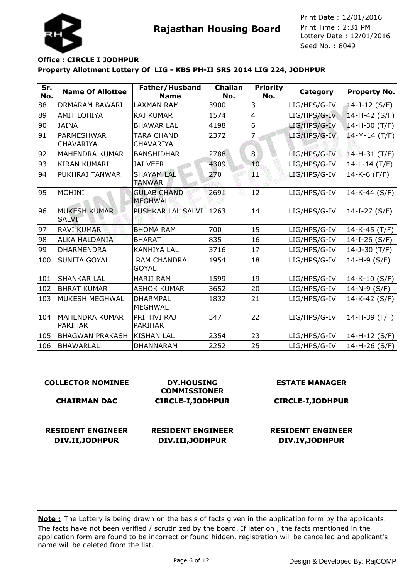

## **Property Allotment Lottery Of LIG - KBS PH-II SRS 2014 LIG 224, JODHPUR Office : CIRCLE I JODHPUR**

| Sr.<br>No. | <b>Name Of Allottee</b>                 | Father/Husband<br><b>Name</b>         | <b>Challan</b><br>No. | <b>Priority</b><br>No. | Category     | <b>Property No.</b> |
|------------|-----------------------------------------|---------------------------------------|-----------------------|------------------------|--------------|---------------------|
| 88         | DRMARAM BAWARI                          | <b>LAXMAN RAM</b>                     | 3900                  | 3                      | LIG/HPS/G-IV | 14-J-12 (S/F)       |
| 89         | <b>AMIT LOHIYA</b>                      | RAJ KUMAR                             | 1574                  | $\overline{4}$         | LIG/HPS/G-IV | 14-H-42 (S/F)       |
| 90         | <b>JAINA</b>                            | <b>BHAWAR LAL</b>                     | 4198                  | 6                      | LIG/HPS/G-IV | 14-H-30 (T/F)       |
| 91         | <b>PARMESHWAR</b><br><b>CHAVARIYA</b>   | <b>TARA CHAND</b><br><b>CHAVARIYA</b> | 2372                  | 7                      | LIG/HPS/G-IV | $14-M-14$ (T/F)     |
| 92         | <b>MAHENDRA KUMAR</b>                   | <b>BANSHIDHAR</b>                     | 2788                  | 8 <sup>1</sup>         | LIG/HPS/G-IV | 14-H-31 (T/F)       |
| 93         | <b>KIRAN KUMARI</b>                     | <b>JAI VEER</b>                       | 4309                  | 10                     | LIG/HPS/G-IV | $14-L-14$ (T/F)     |
| 94         | PUKHRAJ TANWAR                          | <b>SHAYAM LAL</b><br><b>TANWAR</b>    | 270                   | H 1                    | LIG/HPS/G-IV | $14-K-6$ (F/F)      |
| 95         | <b>MOHINI</b>                           | <b>GULAB CHAND</b><br><b>MEGHWAL</b>  | 2691                  | 12                     | LIG/HPS/G-IV | 14-K-44 (S/F)       |
| 96         | <b>MUKESH KUMAR</b><br><b>SALVI</b>     | PUSHKAR LAL SALVI                     | 1263                  | 14                     | LIG/HPS/G-IV | 14-I-27 $(S/F)$     |
| 97         | <b>RAVI KUMAR</b>                       | <b>BHOMA RAM</b>                      | 700                   | 15                     | LIG/HPS/G-IV | $14-K-45$ (T/F)     |
| 98         | <b>ALKA HALDANIA</b>                    | <b>BHARAT</b>                         | 835                   | 16                     | LIG/HPS/G-IV | 14-I-26 (S/F)       |
| 99         | <b>DHARMENDRA</b>                       | <b>KANHIYA LAL</b>                    | 3716                  | 17                     | LIG/HPS/G-IV | $14 - J - 30$ (T/F) |
| 100        | <b>SUNITA GOYAL</b>                     | <b>RAM CHANDRA</b><br><b>GOYAL</b>    | 1954                  | 18                     | LIG/HPS/G-IV | 14-H-9 (S/F)        |
| 101        | <b>SHANKAR LAL</b>                      | <b>HARJI RAM</b>                      | 1599                  | 19                     | LIG/HPS/G-IV | 14-K-10 (S/F)       |
| 102        | <b>BHRAT KUMAR</b>                      | <b>ASHOK KUMAR</b>                    | 3652                  | 20                     | LIG/HPS/G-IV | $14 - N - 9 (S/F)$  |
| 103        | MUKESH MEGHWAL                          | <b>DHARMPAL</b><br><b>MEGHWAL</b>     | 1832                  | 21                     | LIG/HPS/G-IV | 14-K-42 (S/F)       |
| 104        | <b>MAHENDRA KUMAR</b><br><b>PARIHAR</b> | PRITHVI RAJ<br><b>PARIHAR</b>         | 347                   | 22                     | LIG/HPS/G-IV | 14-H-39 (F/F)       |
| 105        | <b>BHAGWAN PRAKASH</b>                  | <b>KISHAN LAL</b>                     | 2354                  | 23                     | LIG/HPS/G-IV | 14-H-12 (S/F)       |
| 106        | <b>BHAWARLAL</b>                        | <b>DHANNARAM</b>                      | 2252                  | 25                     | LIG/HPS/G-IV | 14-H-26 (S/F)       |

| <b>COLLECTOR NOMINEE</b>                    | <b>DY.HOUSING</b><br><b>COMMISSIONER</b>     | <b>ESTATE MANAGER</b>                       |
|---------------------------------------------|----------------------------------------------|---------------------------------------------|
| <b>CHAIRMAN DAC</b>                         | <b>CIRCLE-I, JODHPUR</b>                     | <b>CIRCLE-I, JODHPUR</b>                    |
| <b>RESIDENT ENGINEER</b><br>DIV.II, JODHPUR | <b>RESIDENT ENGINEER</b><br>DIV.III, JODHPUR | <b>RESIDENT ENGINEER</b><br>DIV.IV, JODHPUR |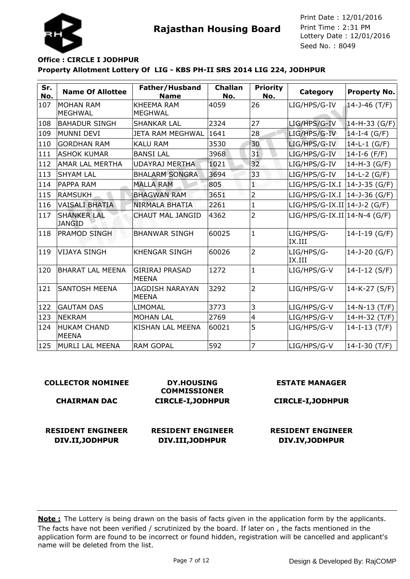

## **Property Allotment Lottery Of LIG - KBS PH-II SRS 2014 LIG 224, JODHPUR Office : CIRCLE I JODHPUR**

| Sr.<br>No. | <b>Name Of Allottee</b>             | Father/Husband<br><b>Name</b>          | <b>Challan</b><br>No. | <b>Priority</b><br>No. | Category                      | <b>Property No.</b> |
|------------|-------------------------------------|----------------------------------------|-----------------------|------------------------|-------------------------------|---------------------|
| 107        | IMOHAN RAM<br><b>MEGHWAL</b>        | <b>KHEEMA RAM</b><br><b>MEGHWAL</b>    | 4059                  | 26                     | LIG/HPS/G-IV                  | 14-J-46 $(T/F)$     |
| 108        | <b>BAHADUR SINGH</b>                | <b>SHANKAR LAL</b>                     | 2324                  | 27                     | LIG/HPS/G-IV                  | $14-H-33(G/F)$      |
| 109        | MUNNI DEVI                          | JETA RAM MEGHWAL                       | 1641                  | 28                     | LIG/HPS/G-IV                  | 14-I-4 (G/F)        |
| 110        | <b>GORDHAN RAM</b>                  | <b>KALU RAM</b>                        | 3530                  | 30                     | LIG/HPS/G-IV                  | $14-L-1$ (G/F)      |
| 111        | <b>ASHOK KUMAR</b>                  | <b>BANSI LAL</b>                       | 3968                  | 31                     | LIG/HPS/G-IV                  | $14-I-6$ (F/F)      |
| 112        | <b>AMAR LAL MERTHA</b>              | <b>UDAYRAJ MERTHA</b>                  | 1021                  | 32                     | LIG/HPS/G-IV                  | 14-H-3 (G/F)        |
| 113        | <b>SHYAM LAL</b>                    | <b>BHALARM SONGRA</b>                  | 3694                  | 33                     | LIG/HPS/G-IV                  | 14-L-2 (G/F)        |
| 114        | <b>PAPPA RAM</b>                    | <b>MALLA RAM</b>                       | 805                   | T                      | LIG/HPS/G-IX.I                | $14 - J - 35$ (G/F) |
| 115        | <b>RAMSUKH</b>                      | <b>BHAGWAN RAM</b>                     | 3651                  | $\overline{2}$         | LIG/HPS/G-IX.I                | $14 - J - 36$ (G/F) |
| 116        | <b>VAISALI BHATIA</b>               | NIRMALA BHATIA                         | 2261                  | $\mathbf{1}$           | $LIG/HPS/G-IX.II 14-J-2(G/F)$ |                     |
| 117        | <b>SHANKER LAL</b><br><b>JANGID</b> | <b>CHAUT MAL JANGID</b>                | 4362                  | $\overline{2}$         | $LIG/HPS/G-IX.II 14-N-4(G/F)$ |                     |
| 118        | <b>PRAMOD SINGH</b>                 | <b>BHANWAR SINGH</b>                   | 60025                 | $\mathbf{1}$           | LIG/HPS/G-<br>IX.III          | $14-I-19(G/F)$      |
| 119        | <b>VIJAYA SINGH</b>                 | <b>KHENGAR SINGH</b>                   | 60026                 | $\overline{2}$         | LIG/HPS/G-<br>IX.III          | 14-J-20 (G/F)       |
| 120        | BHARAT LAL MEENA                    | <b>GIRIRAJ PRASAD</b><br><b>MEENA</b>  | 1272                  | $\mathbf{1}$           | LIG/HPS/G-V                   | $14-I-12(S/F)$      |
| 121        | <b>SANTOSH MEENA</b>                | <b>JAGDISH NARAYAN</b><br><b>MEENA</b> | 3292                  | $\overline{2}$         | LIG/HPS/G-V                   | 14-K-27 (S/F)       |
| 122        | <b>GAUTAM DAS</b>                   | LIMOMAL                                | 3773                  | 3                      | LIG/HPS/G-V                   | $14 - N - 13$ (T/F) |
| 123        | NEKRAM                              | <b>MOHAN LAL</b>                       | 2769                  | $\overline{4}$         | LIG/HPS/G-V                   | $14-H-32(T/F)$      |
| 124        | <b>HUKAM CHAND</b><br>MEENA         | KISHAN LAL MEENA                       | 60021                 | 5                      | LIG/HPS/G-V                   | $14-I-13(T/F)$      |
| 125        | MURLI LAL MEENA                     | <b>RAM GOPAL</b>                       | 592                   | $\overline{7}$         | LIG/HPS/G-V                   | 14-I-30 $(T/F)$     |

## **COLLECTOR NOMINEE**

#### **CHAIRMAN DAC**

**DY.HOUSING COMMISSIONER CIRCLE-I,JODHPUR**

#### **RESIDENT ENGINEER DIV.II,JODHPUR**

**RESIDENT ENGINEER DIV.III,JODHPUR**

#### **ESTATE MANAGER**

**CIRCLE-I,JODHPUR**

## **RESIDENT ENGINEER DIV.IV,JODHPUR**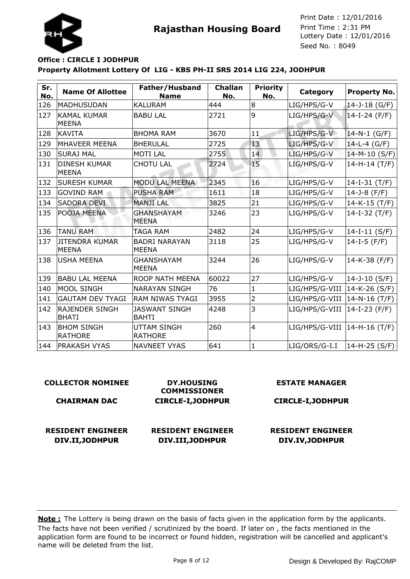



## **Property Allotment Lottery Of LIG - KBS PH-II SRS 2014 LIG 224, JODHPUR Office : CIRCLE I JODHPUR**

| Sr.<br>No. | <b>Name Of Allottee</b>               | Father/Husband<br><b>Name</b>        | <b>Challan</b><br>No. | <b>Priority</b><br>No. | Category       | <b>Property No.</b> |
|------------|---------------------------------------|--------------------------------------|-----------------------|------------------------|----------------|---------------------|
| 126        | MADHUSUDAN                            | <b>KALURAM</b>                       | 444                   | 8                      | LIG/HPS/G-V    | 14-J-18 (G/F)       |
| 127        | <b>KAMAL KUMAR</b><br><b>MEENA</b>    | <b>BABU LAL</b>                      | 2721                  | 9                      | LIG/HPS/G-V    | $14-I-24$ (F/F)     |
| 128        | KAVITA                                | <b>BHOMA RAM</b>                     | 3670                  | 11                     | LIG/HPS/G-V    | $14 - N - 1$ (G/F)  |
| 129        | MHAVEER MEENA                         | <b>BHERULAL</b>                      | 2725                  | 13                     | LIG/HPS/G-V    | $14-L-4$ (G/F)      |
| 130        | <b>SURAJ MAL</b>                      | <b>MOTILAL</b>                       | 2755                  | 14                     | LIG/HPS/G-V    | 14-M-10 (S/F)       |
| 131        | <b>DINESH KUMAR</b><br><b>MEENA</b>   | <b>CHOTU LAL</b>                     | 2724                  | 15 <sub>1</sub>        | LIG/HPS/G-V    | $14-H-14(T/F)$      |
| 132        | <b>SURESH KUMAR</b>                   | MODU LAL MEENA                       | 2345                  | 16                     | LIG/HPS/G-V    | $14-I-31$ (T/F)     |
| 133        | <b>GOVIND RAM</b>                     | <b>PUSHA RAM</b>                     | 1611                  | 18                     | LIG/HPS/G-V    | 14-J-8 $(F/F)$      |
| 134        | <b>SADORA DEVI</b>                    | <b>MANJI LAL</b>                     | 3825                  | 21                     | LIG/HPS/G-V    | $14-K-15$ (T/F)     |
| 135        | POOJA MEENA                           | <b>GHANSHAYAM</b><br><b>MEENA</b>    | 3246                  | 23                     | LIG/HPS/G-V    | 14-I-32 $(T/F)$     |
| 136        | <b>TANU RAM</b>                       | <b>TAGA RAM</b>                      | 2482                  | 24                     | LIG/HPS/G-V    | $14-I-11(S/F)$      |
| 137        | <b>JITENDRA KUMAR</b><br><b>MEENA</b> | <b>BADRI NARAYAN</b><br><b>MEENA</b> | 3118                  | 25                     | LIG/HPS/G-V    | 14-I-5 $(F/F)$      |
| 138        | <b>USHA MEENA</b>                     | <b>GHANSHAYAM</b><br><b>MEENA</b>    | 3244                  | 26                     | LIG/HPS/G-V    | 14-K-38 (F/F)       |
| 139        | <b>BABU LAL MEENA</b>                 | ROOP NATH MEENA                      | 60022                 | 27                     | LIG/HPS/G-V    | $14 - J - 10$ (S/F) |
| 140        | <b>MOOL SINGH</b>                     | <b>NARAYAN SINGH</b>                 | 76                    | $\mathbf{1}$           | LIG/HPS/G-VIII | 14-K-26 (S/F)       |
| 141        | <b>GAUTAM DEV TYAGI</b>               | <b>RAM NIWAS TYAGI</b>               | 3955                  | $\overline{2}$         | LIG/HPS/G-VIII | $14 - N - 16$ (T/F) |
| 142        | <b>RAJENDER SINGH</b><br><b>BHATI</b> | <b>JASWANT SINGH</b><br><b>BAHTI</b> | 4248                  | 3                      | LIG/HPS/G-VIII | 14-I-23 (F/F)       |
| 143        | <b>BHOM SINGH</b><br><b>RATHORE</b>   | UTTAM SINGH<br><b>RATHORE</b>        | 260                   | $\overline{4}$         | LIG/HPS/G-VIII | 14-H-16 (T/F)       |
| 144        | <b>PRAKASH VYAS</b>                   | <b>NAVNEET VYAS</b>                  | 641                   | $\mathbf{1}$           | LIG/ORS/G-I.I  | 14-H-25 (S/F)       |

| <b>COLLECTOR NOMINEE</b> | <b>DY.HOUSING</b><br><b>COMMISSIONER</b> | <b>ESTATE MANAGER</b>    |
|--------------------------|------------------------------------------|--------------------------|
| <b>CHAIRMAN DAC</b>      | <b>CIRCLE-I, JODHPUR</b>                 | <b>CIRCLE-I, JODHPUR</b> |
| <b>RESIDENT ENGINEER</b> | <b>RESIDENT ENGINEER</b>                 | <b>RESIDENT ENGINEER</b> |
| DIV.II, JODHPUR          | DIV.III, JODHPUR                         | DIV.IV, JODHPUR          |
|                          |                                          |                          |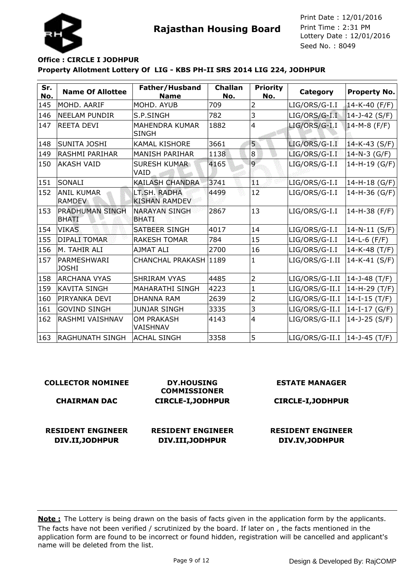



## **Property Allotment Lottery Of LIG - KBS PH-II SRS 2014 LIG 224, JODHPUR Office : CIRCLE I JODHPUR**

| Sr.<br>No. | <b>Name Of Allottee</b>                | Father/Husband<br><b>Name</b>         | <b>Challan</b><br>No. | <b>Priority</b><br>No. | Category       | <b>Property No.</b>  |
|------------|----------------------------------------|---------------------------------------|-----------------------|------------------------|----------------|----------------------|
| 145        | MOHD. AARIF                            | MOHD. AYUB                            | 709                   | 2                      | LIG/ORS/G-I.I  | $14 - K - 40$ (F/F)  |
| 146        | <b>NEELAM PUNDIR</b>                   | S.P.SINGH                             | 782                   | 3                      | LIG/ORS/G-I.I  | $14 - 3 - 42$ (S/F)  |
| 147        | <b>REETA DEVI</b>                      | <b>MAHENDRA KUMAR</b><br><b>SINGH</b> | 1882                  | $\overline{4}$         | LIG/ORS/G-I.I  | $14-M-8$ (F/F)       |
| 148        | SUNITA JOSHI                           | <b>KAMAL KISHORE</b>                  | 3661                  | 5                      | LIG/ORS/G-I.I  | 14-K-43 (S/F)        |
| 149        | <b>RASHMI PARIHAR</b>                  | <b>MANISH PARIHAR</b>                 | 1138                  | $\bf8$                 | LIG/ORS/G-I.I  | $14-N-3$ (G/F)       |
| 150        | <b>AKASH VAID</b>                      | <b>SURESH KUMAR</b><br>VAID           | 4165                  | $\overline{9}$         | LIG/ORS/G-I.I  | 14-H-19 (G/F)        |
| 151        | SONALI                                 | <b>KAILASH CHANDRA</b>                | 3741                  | йŁ.                    | LIG/ORS/G-I.I  | $ 14-H-18(G/F) $     |
| 152        | <b>ANIL KUMAR</b><br><b>RAMDEV</b>     | LT.SH. RADHA<br><b>KISHAN RAMDEV</b>  | 4499                  | 12                     | LIG/ORS/G-I.I  | 14-H-36 (G/F)        |
| 153        | <b>PRADHUMAN SINGH</b><br><b>BHATI</b> | <b>NARAYAN SINGH</b><br><b>BHATI</b>  | 2867                  | 13                     | LIG/ORS/G-I.I  | 14-H-38 (F/F)        |
| 154        | <b>VIKAS</b>                           | <b>SATBEER SINGH</b>                  | 4017                  | 14                     | LIG/ORS/G-I.I  | $14-N-11(S/F)$       |
| 155        | <b>DIPALI TOMAR</b>                    | <b>RAKESH TOMAR</b>                   | 784                   | 15                     | LIG/ORS/G-I.I  | 14-L-6 $(F/F)$       |
| 156        | M. TAHIR ALI                           | AJMAT ALI                             | 2700                  | 16                     | LIG/ORS/G-I.I  | 14-K-48 (T/F)        |
| 157        | PARMESHWARI<br><b>JOSHI</b>            | CHANCHAL PRAKASH 1189                 |                       | 1                      | LIG/ORS/G-I.II | 14-K-41 (S/F)        |
| 158        | <b>ARCHANA VYAS</b>                    | <b>SHRIRAM VYAS</b>                   | 4485                  | $\overline{2}$         | LIG/ORS/G-I.II | 14-J-48 (T/F)        |
| 159        | <b>KAVITA SINGH</b>                    | <b>MAHARATHI SINGH</b>                | 4223                  | $\mathbf{1}$           | LIG/ORS/G-II.I | 14-H-29 (T/F)        |
| 160        | PIRYANKA DEVI                          | <b>DHANNA RAM</b>                     | 2639                  | 2                      | LIG/ORS/G-II.I | $14-I-15$ (T/F)      |
| 161        | <b>GOVIND SINGH</b>                    | <b>JUNJAR SINGH</b>                   | 3335                  | 3                      | LIG/ORS/G-II.I | $14-I-17(G/F)$       |
| 162        | RASHMI VAISHNAV                        | <b>OM PRAKASH</b><br>VAISHNAV         | 4143                  | $\overline{4}$         | LIG/ORS/G-II.I | 14-J-25 (S/F)        |
| 163        | <b>RAGHUNATH SINGH</b>                 | <b>ACHAL SINGH</b>                    | 3358                  | 5                      | LIG/ORS/G-II.I | $ 14 - 3 - 45(T/F) $ |

| <b>COLLECTOR NOMINEE</b> | <b>DY.HOUSING</b><br><b>COMMISSIONER</b> |                          |  |
|--------------------------|------------------------------------------|--------------------------|--|
| <b>CHAIRMAN DAC</b>      | <b>CIRCLE-I, JODHPUR</b>                 | <b>CIRCLE-I, JODHPUR</b> |  |
| <b>RESIDENT ENGINEER</b> | <b>RESIDENT ENGINEER</b>                 | <b>RESIDENT ENGINEER</b> |  |
| DIV.II, JODHPUR          | DIV.III, JODHPUR                         | DIV.IV, JODHPUR          |  |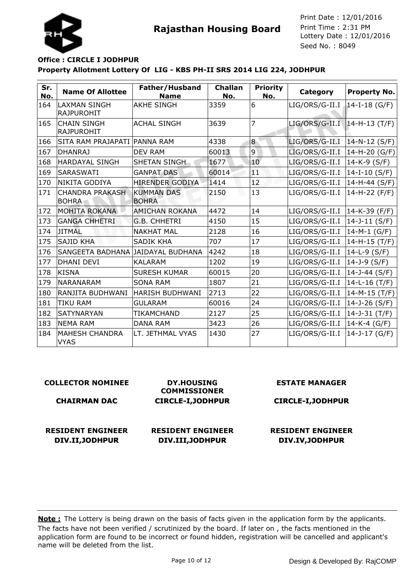



## **Property Allotment Lottery Of LIG - KBS PH-II SRS 2014 LIG 224, JODHPUR Office : CIRCLE I JODHPUR**

| Sr.<br>No. | <b>Name Of Allottee</b>                  | Father/Husband<br><b>Name</b>     | <b>Challan</b><br>No. | <b>Priority</b><br>No. | Category                       | <b>Property No.</b> |
|------------|------------------------------------------|-----------------------------------|-----------------------|------------------------|--------------------------------|---------------------|
| 164        | <b>LAXMAN SINGH</b><br><b>RAJPUROHIT</b> | <b>AKHE SINGH</b>                 | 3359                  | 6                      | LIG/ORS/G-II.I                 | $14-I-18$ (G/F)     |
| 165        | <b>CHAIN SINGH</b><br><b>RAJPUROHIT</b>  | <b>ACHAL SINGH</b>                | 3639                  | $\overline{7}$         | LIG/ORS/G-II.I   14-H-13 (T/F) |                     |
| 166        | SITA RAM PRAJAPATI   PANNA RAM           |                                   | 4338                  | 8                      | LIG/ORS/G-II.I                 | $14 - N - 12$ (S/F) |
| 167        | <b>DHANRAJ</b>                           | <b>DEV RAM</b>                    | 60013                 | $\overline{9}$         | LIG/ORS/G-II.I                 | 14-H-20 (G/F)       |
| 168        | <b>HARDAYAL SINGH</b>                    | SHETAN SINGH                      | 1677                  | 10                     | LIG/ORS/G-II.I                 | 14-K-9 (S/F)        |
| 169        | <b>SARASWATI</b>                         | <b>GANPAT DAS</b>                 | 60014                 | ЯT                     | LIG/ORS/G-II.I                 | 14-I-10 (S/F)       |
| 170        | NIKITA GODIYA                            | <b>HIRENDER GODIYA</b>            | 1414                  | 12 <sub>12</sub>       | LIG/ORS/G-II.I                 | 14-H-44 (S/F)       |
| 171        | <b>CHANDRA PRAKASH</b><br><b>BOHRA</b>   | <b>KUMMAN DAS</b><br><b>BOHRA</b> | 2150                  | 13                     | LIG/ORS/G-II.I                 | 14-H-22 (F/F)       |
| 172        | <b>MOHITA ROKANA</b>                     | <b>AMICHAN ROKANA</b>             | 4472                  | 14                     | LIG/ORS/G-II.I                 | $ 14-K-39(F/F) $    |
| 173        | <b>GANGA CHHETRI</b>                     | G.B. CHHETRI                      | 4150                  | 15                     | LIG/ORS/G-II.I                 | $14 - J - 11$ (S/F) |
| 174        | <b>JITMAL</b>                            | <b>NAKHAT MAL</b>                 | 2128                  | 16                     | LIG/ORS/G-II.I                 | $14-M-1$ (G/F)      |
| 175        | <b>SAJID KHA</b>                         | <b>SADIK KHA</b>                  | 707                   | 17                     | LIG/ORS/G-II.I                 | 14-H-15 (T/F)       |
| 176        | SANGEETA BADHANA JAIDAYAL BUDHANA        |                                   | 4242                  | 18                     | LIG/ORS/G-II.I                 | $14-L-9$ (S/F)      |
| 177        | <b>DHANI DEVI</b>                        | <b>KALARAM</b>                    | 1202                  | 19                     | LIG/ORS/G-II.I                 | 14-J-9 $(S/F)$      |
| 178        | KISNA                                    | <b>SURESH KUMAR</b>               | 60015                 | 20                     | LIG/ORS/G-II.I                 | 14-J-44 (S/F)       |
| 179        | <b>NARANARAM</b>                         | <b>SONA RAM</b>                   | 1807                  | 21                     | LIG/ORS/G-II.I                 | 14-L-16 (T/F)       |
| 180        | RANJITA BUDHWANI                         | <b>HARISH BUDHWANI</b>            | 2713                  | 22                     | LIG/ORS/G-II.I                 | 14-M-15 (T/F)       |
| 181        | <b>TIKU RAM</b>                          | <b>GULARAM</b>                    | 60016                 | 24                     | LIG/ORS/G-II.I                 | 14-J-26 $(S/F)$     |
| 182        | <b>SATYNARYAN</b>                        | <b>TIKAMCHAND</b>                 | 2127                  | 25                     | LIG/ORS/G-II.I                 | $14 - J - 31$ (T/F) |
| 183        | <b>NEMA RAM</b>                          | <b>DANA RAM</b>                   | 3423                  | 26                     | LIG/ORS/G-II.I                 | $14-K-4$ (G/F)      |
| 184        | <b>MAHESH CHANDRA</b><br><b>VYAS</b>     | LT. JETHMAL VYAS                  | 1430                  | 27                     | LIG/ORS/G-II.I                 | 14-J-17 (G/F)       |

#### **COLLECTOR NOMINEE**

#### **CHAIRMAN DAC**

**RESIDENT ENGINEER DIV.II,JODHPUR**

**COMMISSIONER CIRCLE-I,JODHPUR**

**DY.HOUSING**

#### **ESTATE MANAGER**

### **CIRCLE-I,JODHPUR**

# **RESIDENT ENGINEER DIV.III,JODHPUR**

## **RESIDENT ENGINEER DIV.IV,JODHPUR**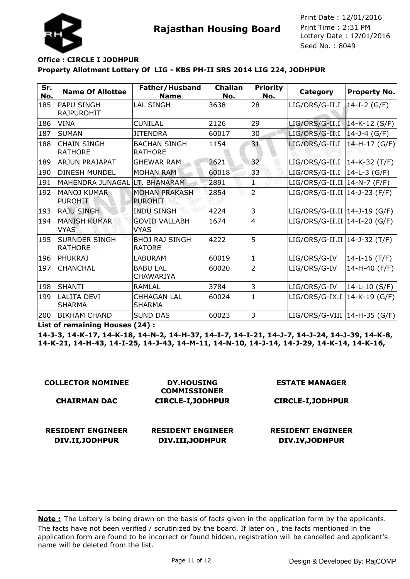



## **Property Allotment Lottery Of LIG - KBS PH-II SRS 2014 LIG 224, JODHPUR Office : CIRCLE I JODHPUR**

| Sr.<br>No. | <b>Name Of Allottee</b>                | Father/Husband<br><b>Name</b>          | <b>Challan</b><br>No. | <b>Priority</b><br>No. | Category                        | <b>Property No.</b> |
|------------|----------------------------------------|----------------------------------------|-----------------------|------------------------|---------------------------------|---------------------|
| 185        | <b>PAPU SINGH</b><br><b>RAJPUROHIT</b> | <b>LAL SINGH</b>                       | 3638                  | 28                     | LIG/ORS/G-II.I                  | 14-I-2 (G/F)        |
| 186        | VINA                                   | <b>CUNILAL</b>                         | 2126                  | 29                     | LIG/ORS/G-II.I   14-K-12 (S/F)  |                     |
| 187        | <b>SUMAN</b>                           | <b>JITENDRA</b>                        | 60017                 | 30                     | LIG/ORS/G-II.I                  | $14 - J - 4$ (G/F)  |
| 188        | <b>CHAIN SINGH</b><br><b>RATHORE</b>   | <b>BACHAN SINGH</b><br><b>RATHORE</b>  | 1154                  | 31                     | LIG/ORS/G-II.I                  | $14-H-17 (G/F)$     |
| 189        | <b>ARJUN PRAJAPAT</b>                  | <b>GHEWAR RAM</b>                      | 2621                  | 32                     | LIG/ORS/G-II.I   14-K-32 (T/F)  |                     |
| 190        | <b>DINESH MUNDEL</b>                   | <b>MOHAN RAM</b>                       | 60018                 | 33                     | LIG/ORS/G-II.I                  | $ 14-L-3(G/F) $     |
| 191        | MAHENDRA JUNAGAL LT. BHANARAM          |                                        | 2891                  | ű.                     | LIG/ORS/G-II.II   14-N-7 (F/F)  |                     |
| 192        | <b>MANOJ KUMAR</b><br><b>PUROHIT</b>   | <b>MOHAN PRAKASH</b><br><b>PUROHIT</b> | 2854                  | $\overline{2}$         | $LIG/ORS/G-II.II$ 14-J-23 (F/F) |                     |
| 193        | <b>RAJU SINGH</b>                      | <b>INDU SINGH</b>                      | 4224                  | 3                      | LIG/ORS/G-II.II   14-J-19 (G/F) |                     |
| 194        | <b>MANISH KUMAR</b><br><b>VYAS</b>     | <b>GOVID VALLABH</b><br><b>VYAS</b>    | 1674                  | $\overline{4}$         | $LIG/ORS/G-II.II$ 14-I-20 (G/F) |                     |
| 195        | <b>SURNDER SINGH</b><br><b>RATHORE</b> | <b>BHOJ RAJ SINGH</b><br><b>RATORE</b> | 4222                  | 5                      | LIG/ORS/G-II.II   14-J-32 (T/F) |                     |
| 196        | <b>IPHUKRAJ</b>                        | <b>LABURAM</b>                         | 60019                 | $\mathbf{1}$           | LIG/ORS/G-IV                    | 14-I-16 $(T/F)$     |
| 197        | <b>CHANCHAL</b>                        | <b>BABU LAL</b><br><b>CHAWARIYA</b>    | 60020                 | $\overline{2}$         | LIG/ORS/G-IV                    | 14-H-40 (F/F)       |
| 198        | ISHANTI                                | <b>RAMLAL</b>                          | 3784                  | 3                      | LIG/ORS/G-IV                    | 14-L-10 (S/F)       |
| 199        | <b>LALITA DEVI</b><br>SHARMA           | <b>CHHAGAN LAL</b><br><b>SHARMA</b>    | 60024                 | $\mathbf{1}$           | $LIG/ORS/G-IX.I$ 14-K-19 (G/F)  |                     |
| 200        | <b>BIKHAM CHAND</b>                    | <b>SUND DAS</b>                        | 60023                 | 3                      | $LIG/ORS/G-VIII$ 14-H-35 (G/F)  |                     |

**List of remaining Houses (24) :**

**14-J-3, 14-K-17, 14-K-18, 14-N-2, 14-H-37, 14-I-7, 14-I-21, 14-J-7, 14-J-24, 14-J-39, 14-K-8, 14-K-21, 14-H-43, 14-I-25, 14-J-43, 14-M-11, 14-N-10, 14-J-14, 14-J-29, 14-K-14, 14-K-16,**

| <b>COLLECTOR NOMINEE</b>                    | <b>DY.HOUSING</b><br><b>COMMISSIONER</b>     | <b>ESTATE MANAGER</b>                       |
|---------------------------------------------|----------------------------------------------|---------------------------------------------|
| <b>CHAIRMAN DAC</b>                         | <b>CIRCLE-I, JODHPUR</b>                     | <b>CIRCLE-I, JODHPUR</b>                    |
| <b>RESIDENT ENGINEER</b><br>DIV.II, JODHPUR | <b>RESIDENT ENGINEER</b><br>DIV.III, JODHPUR | <b>RESIDENT ENGINEER</b><br>DIV.IV, JODHPUR |